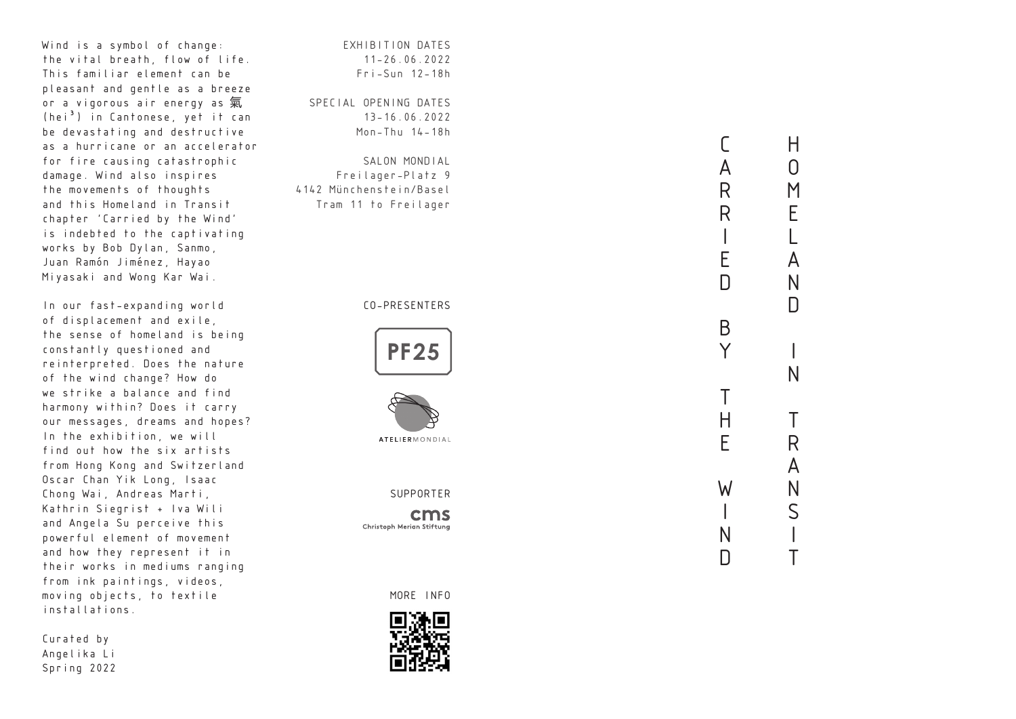Wind is a symbol of change: the vital breath, flow of life. This familiar element can be pleasant and gentle as a breeze or a vigorous air energy as 氣  $(hei<sup>3</sup>)$  in Cantonese, yet it can be devastating and destructive as a hurricane or an accelerator for fire causing catastrophic damage. Wind also inspires the movements of thoughts and this Homeland in Transit chapter 'Carried by the Wind' is indebted to the captivating works by Bob Dylan, Sanmo, Juan Ramón Jiménez, Hayao Miyasaki and Wong Kar Wai.

In our fast-expanding world of displacement and exile, the sense of homeland is being constantly questioned and reinterpreted. Does the nature of the wind change? How do we strike a balance and find harmony within? Does it carry our messages, dreams and hopes? In the exhibition, we will find out how the six artists from Hong Kong and Switzerland Oscar Chan Yik Long, Isaac Chong Wai, Andreas Marti, Kathrin Siegrist + Iva Wili and Angela Su perceive this powerful element of movement and how they represent it in their works in mediums ranging from ink paintings, videos, moving objects, to textile installations.

Curated by Angelika Li Spring 2022 EXHIBITION DATES 11-26.06.2022 Fri-Sun 12-18h

SPECIAL OPENING DATES 13-16.06.2022 Mon-Thu 14-18h

SALON MONDIAL Freilager-Platz 9 4142 Münchenstein/Basel Tram 11 to Freilager

## CO-PRESENTERS





SUPPORTER

cms Christoph Merian Stiftung

MORE INFO



CARRIEDBYTH  $H$ HOMELANDINTRANSIT  $\Omega$  $M$ E A  $N$  $\Box$  $\overline{N}$  $\top$ E<br>D<br>D<br>D R A  $\mathsf{N}$  $\overline{S}$ 

 $\Gamma$ A

 $\mathsf{R}$ 

 $\overline{R}$ 

E

 $\Box$ 

 $\overline{B}$ Y

 $H$